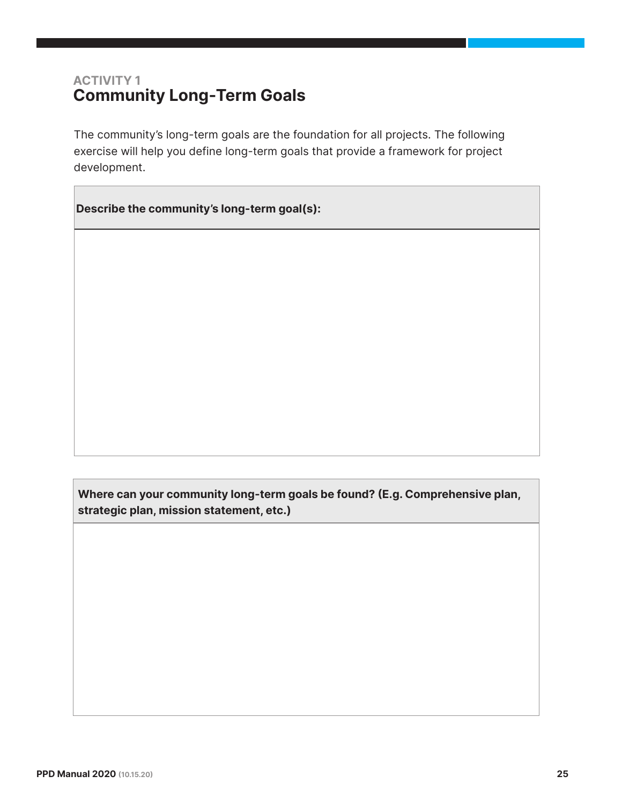## ACTIVITY 1 Community Long-Term Goals

The community's long-term goals are the foundation for all projects. The following exercise will help you define long-term goals that provide a framework for project development.

Describe the community's long-term goal(s):

Where can your community long-term goals be found? (E.g. Comprehensive plan, strategic plan, mission statement, etc.)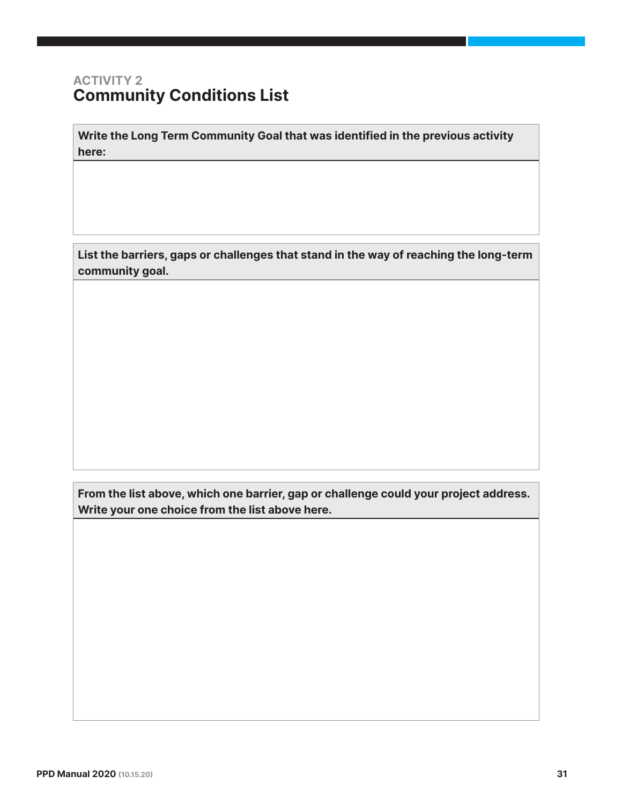### ACTIVITY 2 Community Conditions List

Write the Long Term Community Goal that was identified in the previous activity here:

List the barriers, gaps or challenges that stand in the way of reaching the long-term community goal.

From the list above, which one barrier, gap or challenge could your project address. Write your one choice from the list above here.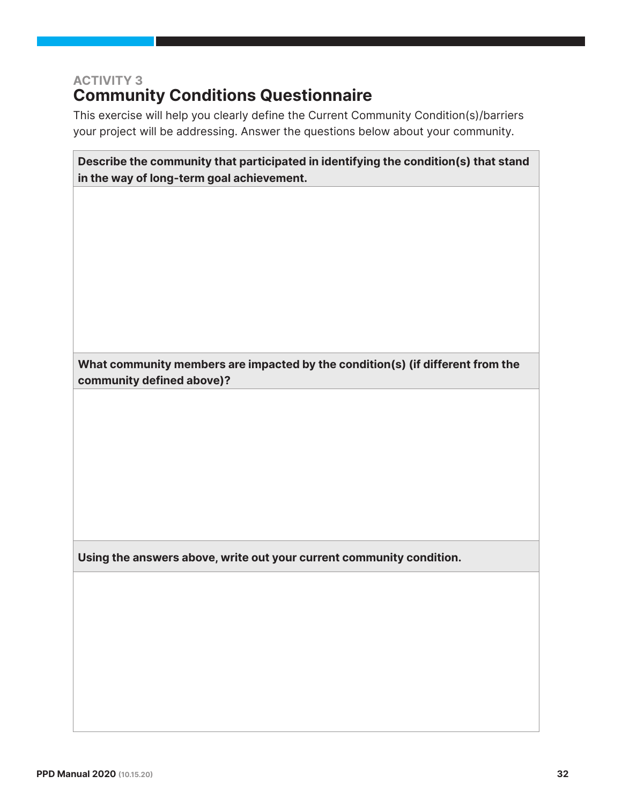# ACTIVITY 3 **Community Conditions Questionnaire**

This exercise will help you clearly define the Current Community Condition(s)/barriers your project will be addressing. Answer the questions below about your community.

Describe the community that participated in identifying the condition(s) that stand in the way of long-term goal achievement.

What community members are impacted by the condition(s) (if different from the community defined above)?

Using the answers above, write out your current community condition.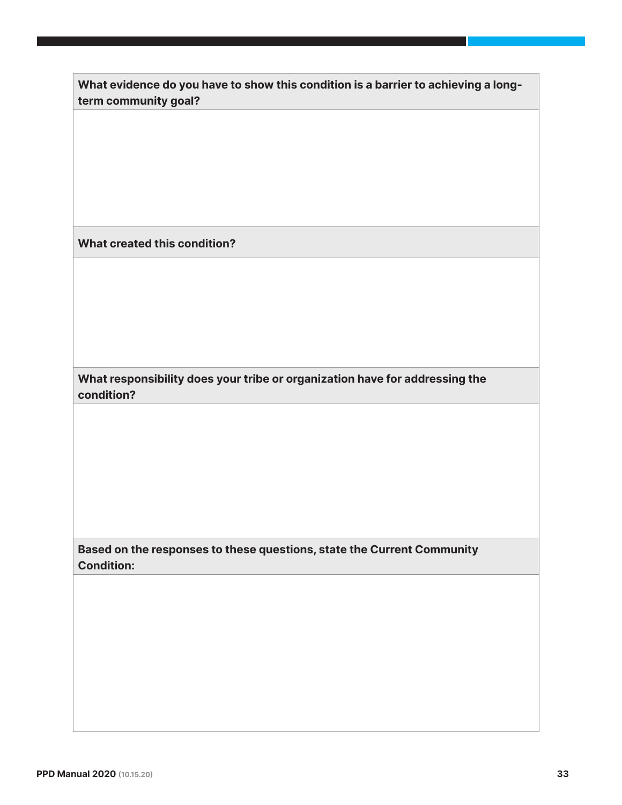| What evidence do you have to show this condition is a barrier to achieving a long- |  |
|------------------------------------------------------------------------------------|--|
| term community goal?                                                               |  |

What created this condition?

What responsibility does your tribe or organization have for addressing the condition?

Based on the responses to these questions, state the Current Community Condition: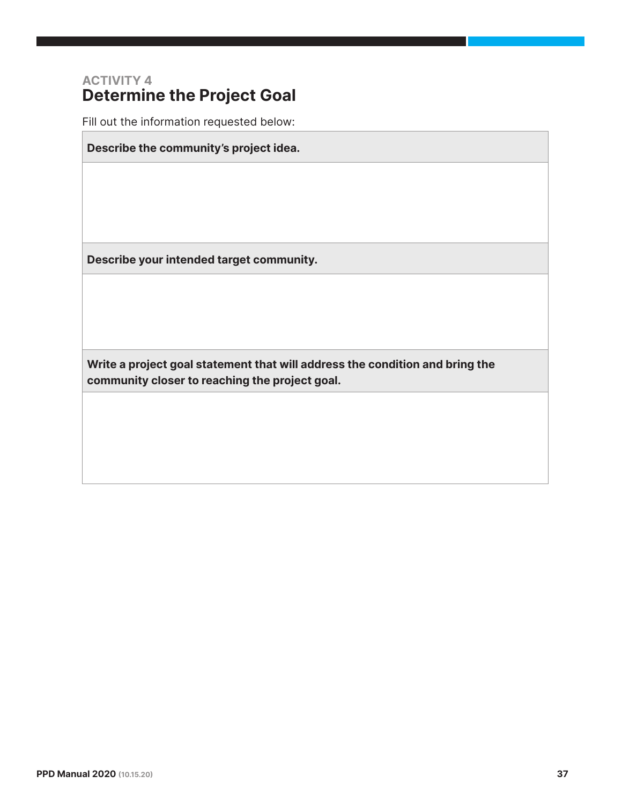### ACTIVITY 4 Determine the Project Goal

Fill out the information requested below:

Describe the community's project idea.

Describe your intended target community.

Write a project goal statement that will address the condition and bring the community closer to reaching the project goal.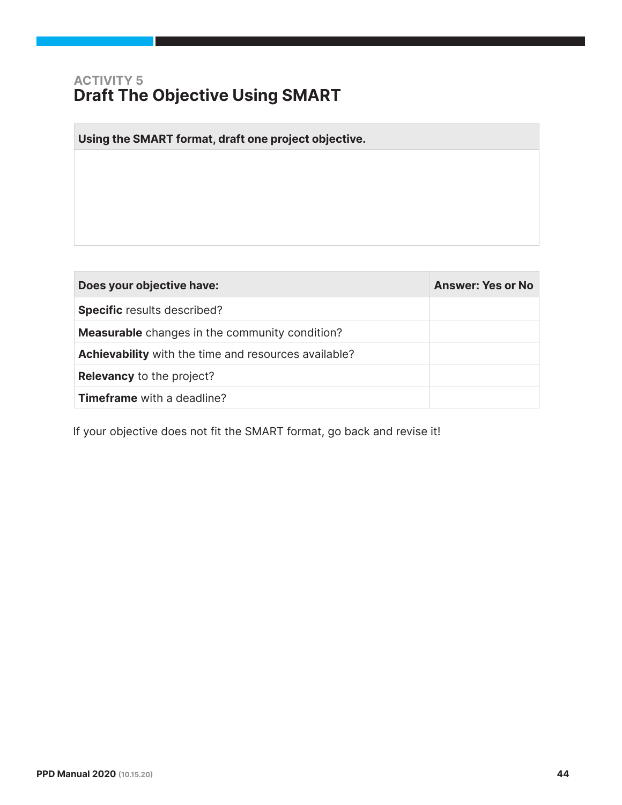# ACTIVITY 5 Draft The Objective Using SMART

 $\mathcal{L}_{\mathcal{A}}$ 

| Using the SMART format, draft one project objective.        |                          |
|-------------------------------------------------------------|--------------------------|
|                                                             |                          |
|                                                             |                          |
|                                                             |                          |
|                                                             |                          |
|                                                             |                          |
|                                                             |                          |
|                                                             |                          |
|                                                             |                          |
| Does your objective have:                                   | <b>Answer: Yes or No</b> |
| Specific results described?                                 |                          |
| <b>Measurable</b> changes in the community condition?       |                          |
| <b>Achievability</b> with the time and resources available? |                          |
| <b>Relevancy to the project?</b>                            |                          |

If your objective does not fit the SMART format, go back and revise it!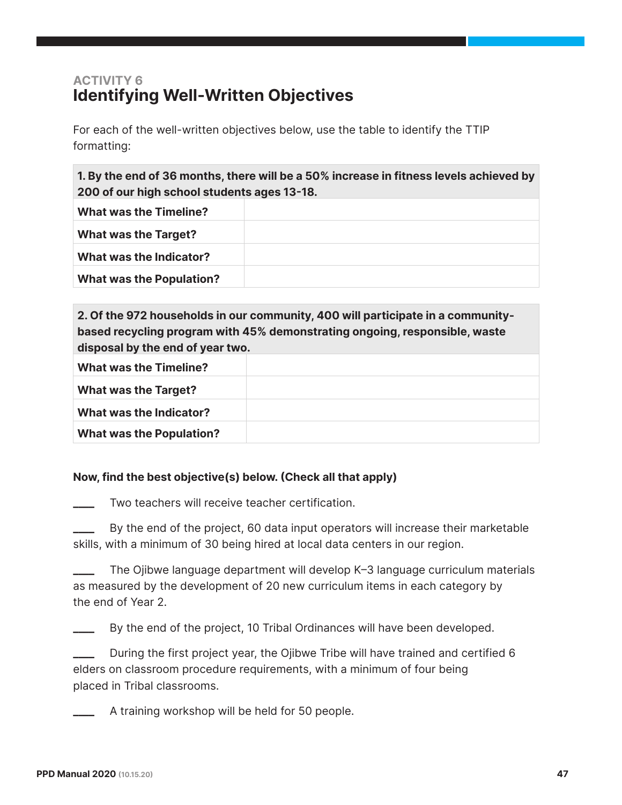# ACTIVITY 6 Identifying Well-Written Objectives

For each of the well-written objectives below, use the table to identify the TTIP formatting:

1. By the end of 36 months, there will be a 50% increase in fitness levels achieved by 200 of our high school students ages 13-18.

| <b>What was the Timeline?</b>   |  |
|---------------------------------|--|
| <b>What was the Target?</b>     |  |
| What was the Indicator?         |  |
| <b>What was the Population?</b> |  |

| 2. Of the 972 households in our community, 400 will participate in a community- |  |  |
|---------------------------------------------------------------------------------|--|--|
| based recycling program with 45% demonstrating ongoing, responsible, waste      |  |  |
| disposal by the end of year two.                                                |  |  |
| <b>What was the Timeline?</b>                                                   |  |  |
| <b>What was the Target?</b>                                                     |  |  |
| What was the Indicator?                                                         |  |  |
| <b>What was the Population?</b>                                                 |  |  |

#### Now, find the best objective(s) below. (Check all that apply)

Two teachers will receive teacher certification.

By the end of the project, 60 data input operators will increase their marketable skills, with a minimum of 30 being hired at local data centers in our region.

The Ojibwe language department will develop K-3 language curriculum materials as measured by the development of 20 new curriculum items in each category by the end of Year 2.

By the end of the project, 10 Tribal Ordinances will have been developed.

During the first project year, the Ojibwe Tribe will have trained and certified 6 elders on classroom procedure requirements, with a minimum of four being placed in Tribal classrooms.

A training workshop will be held for 50 people.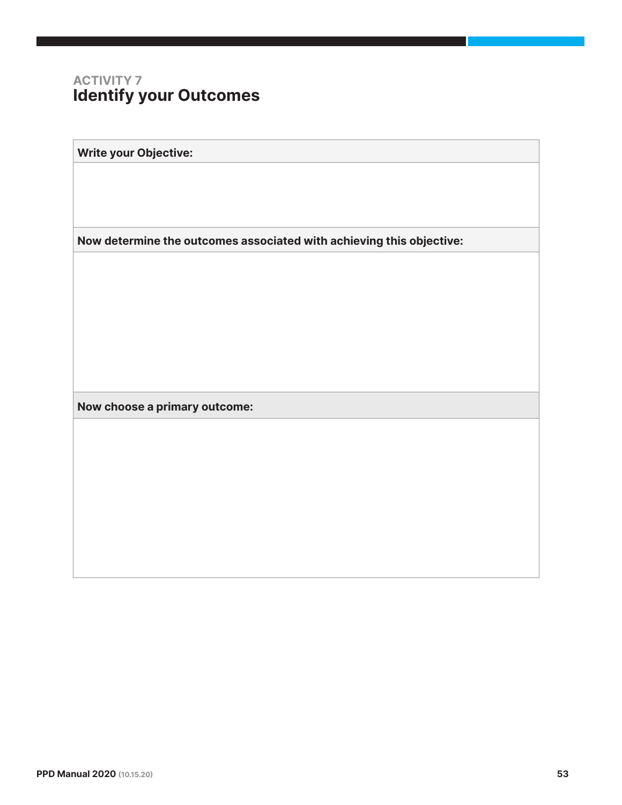## ACTIVITY 7 Identify your Outcomes

Write your Objective:

Now determine the outcomes associated with achieving this objective:

Now choose a primary outcome: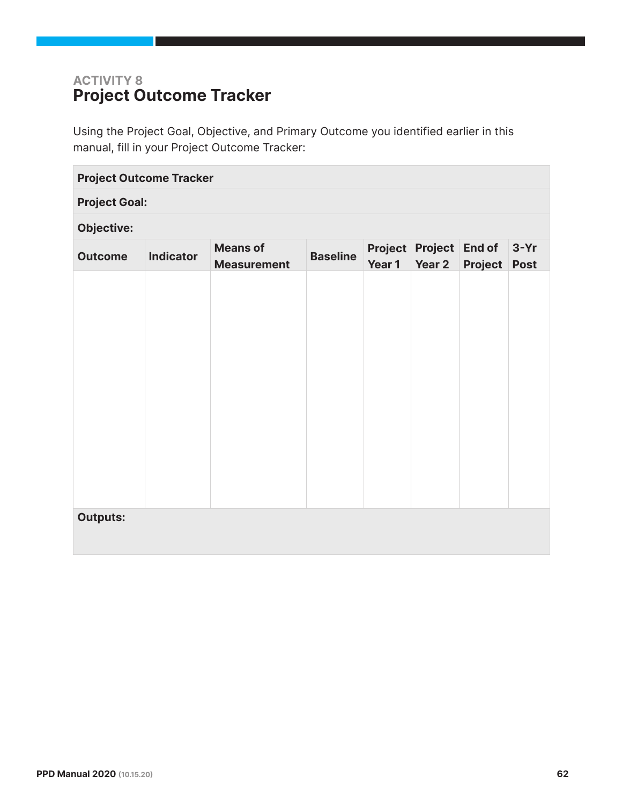# ACTIVITY 8 Project Outcome Tracker

Using the Project Goal, Objective, and Primary Outcome you identified earlier in this manual, fill in your Project Outcome Tracker:

| <b>Project Outcome Tracker</b> |                  |                                       |                 |        |                                         |                |                       |
|--------------------------------|------------------|---------------------------------------|-----------------|--------|-----------------------------------------|----------------|-----------------------|
| <b>Project Goal:</b>           |                  |                                       |                 |        |                                         |                |                       |
| <b>Objective:</b>              |                  |                                       |                 |        |                                         |                |                       |
| <b>Outcome</b>                 | <b>Indicator</b> | <b>Means of</b><br><b>Measurement</b> | <b>Baseline</b> | Year 1 | <b>Project Project End of</b><br>Year 2 | <b>Project</b> | $3-Yr$<br><b>Post</b> |
|                                |                  |                                       |                 |        |                                         |                |                       |
| <b>Outputs:</b>                |                  |                                       |                 |        |                                         |                |                       |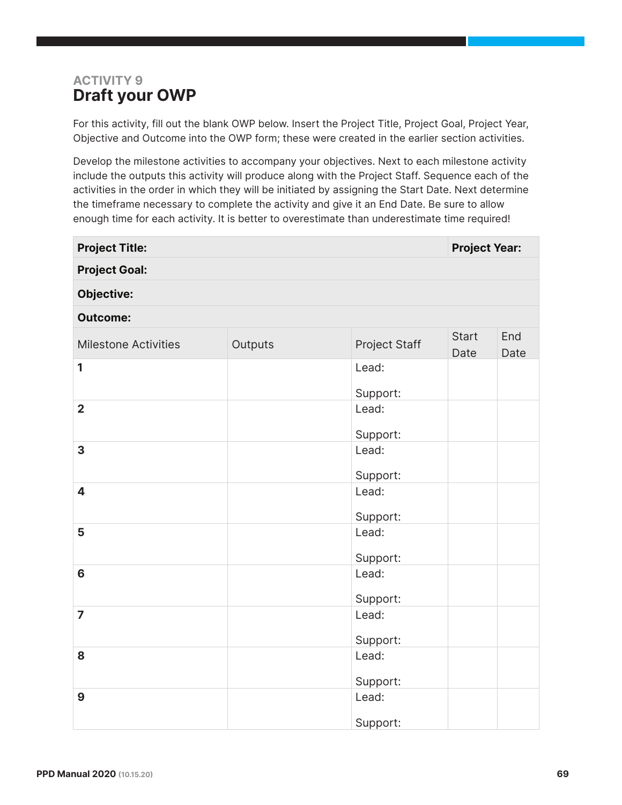# ACTIVITY 9 Draft your OWP

For this activity, fill out the blank OWP below. Insert the Project Title, Project Goal, Project Year, Objective and Outcome into the OWP form; these were created in the earlier section activities.

Develop the milestone activities to accompany your objectives. Next to each milestone activity include the outputs this activity will produce along with the Project Staff. Sequence each of the activities in the order in which they will be initiated by assigning the Start Date. Next determine the timeframe necessary to complete the activity and give it an End Date. Be sure to allow enough time for each activity. It is better to overestimate than underestimate time required!

| <b>Project Title:</b>       |         |                   | <b>Project Year:</b> |             |
|-----------------------------|---------|-------------------|----------------------|-------------|
| <b>Project Goal:</b>        |         |                   |                      |             |
| <b>Objective:</b>           |         |                   |                      |             |
| <b>Outcome:</b>             |         |                   |                      |             |
| <b>Milestone Activities</b> | Outputs | Project Staff     | <b>Start</b><br>Date | End<br>Date |
| 1                           |         | Lead:<br>Support: |                      |             |
| $\overline{2}$              |         | Lead:<br>Support: |                      |             |
| 3                           |         | Lead:<br>Support: |                      |             |
| 4                           |         | Lead:<br>Support: |                      |             |
| 5                           |         | Lead:<br>Support: |                      |             |
| $6\phantom{a}$              |         | Lead:<br>Support: |                      |             |
| $\overline{7}$              |         | Lead:<br>Support: |                      |             |
| 8                           |         | Lead:<br>Support: |                      |             |
| 9                           |         | Lead:<br>Support: |                      |             |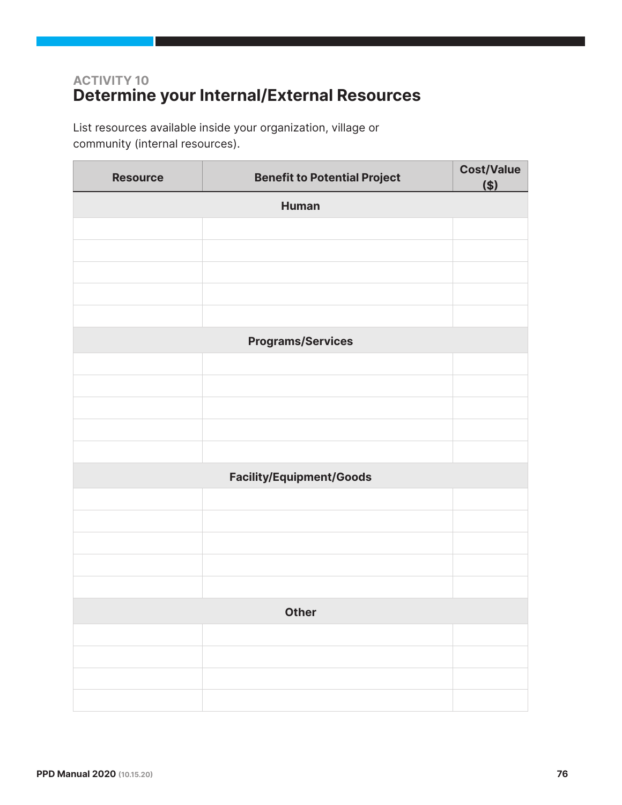# ACTIVITY 10 Determine your Internal/External Resources

List resources available inside your organization, village or community (internal resources).

| <b>Resource</b> | <b>Benefit to Potential Project</b> | <b>Cost/Value</b><br>$($ |  |  |
|-----------------|-------------------------------------|--------------------------|--|--|
| <b>Human</b>    |                                     |                          |  |  |
|                 |                                     |                          |  |  |
|                 |                                     |                          |  |  |
|                 |                                     |                          |  |  |
|                 |                                     |                          |  |  |
|                 |                                     |                          |  |  |
|                 | <b>Programs/Services</b>            |                          |  |  |
|                 |                                     |                          |  |  |
|                 |                                     |                          |  |  |
|                 |                                     |                          |  |  |
|                 |                                     |                          |  |  |
|                 |                                     |                          |  |  |
|                 | <b>Facility/Equipment/Goods</b>     |                          |  |  |
|                 |                                     |                          |  |  |
|                 |                                     |                          |  |  |
|                 |                                     |                          |  |  |
|                 |                                     |                          |  |  |
|                 |                                     |                          |  |  |
|                 | <b>Other</b>                        |                          |  |  |
|                 |                                     |                          |  |  |
|                 |                                     |                          |  |  |
|                 |                                     |                          |  |  |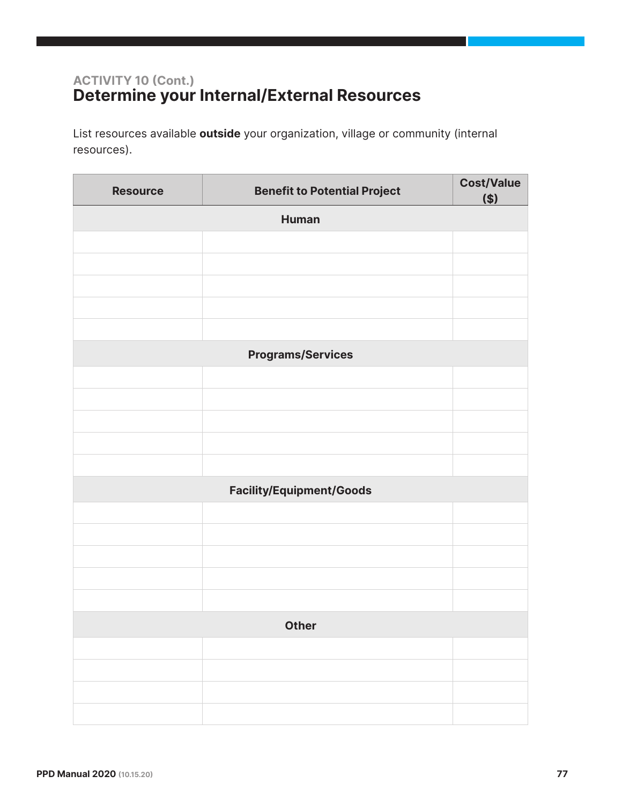## ACTIVITY 10 (Cont.) Determine your Internal/External Resources

List resources available **outside** your organization, village or community (internal resources).

| <b>Resource</b> | <b>Benefit to Potential Project</b> | <b>Cost/Value</b><br>\$) |  |  |
|-----------------|-------------------------------------|--------------------------|--|--|
|                 | <b>Human</b>                        |                          |  |  |
|                 |                                     |                          |  |  |
|                 |                                     |                          |  |  |
|                 |                                     |                          |  |  |
|                 |                                     |                          |  |  |
|                 |                                     |                          |  |  |
|                 | <b>Programs/Services</b>            |                          |  |  |
|                 |                                     |                          |  |  |
|                 |                                     |                          |  |  |
|                 |                                     |                          |  |  |
|                 |                                     |                          |  |  |
|                 | <b>Facility/Equipment/Goods</b>     |                          |  |  |
|                 |                                     |                          |  |  |
|                 |                                     |                          |  |  |
|                 |                                     |                          |  |  |
|                 |                                     |                          |  |  |
|                 |                                     |                          |  |  |
| <b>Other</b>    |                                     |                          |  |  |
|                 |                                     |                          |  |  |
|                 |                                     |                          |  |  |
|                 |                                     |                          |  |  |
|                 |                                     |                          |  |  |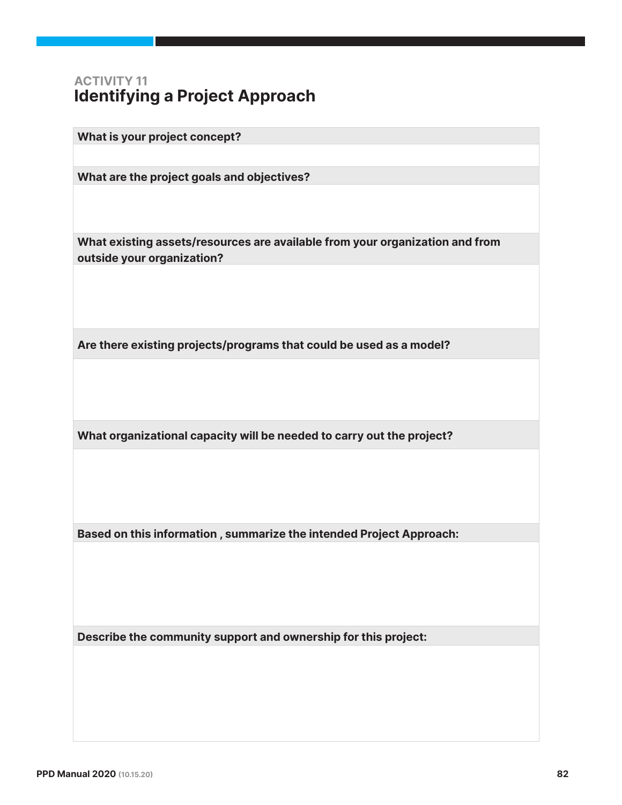### ACTIVITY 11 Identifying a Project Approach

What is your project concept?

What are the project goals and objectives?

What existing assets/resources are available from your organization and from outside your organization?

Are there existing projects/programs that could be used as a model?

What organizational capacity will be needed to carry out the project?

Based on this information, summarize the intended Project Approach:

Describe the community support and ownership for this project: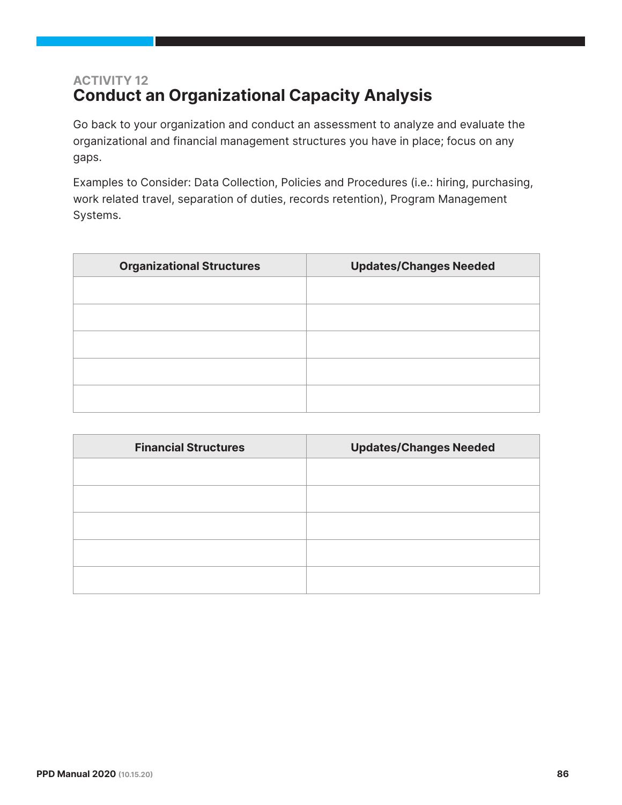# ACTIVITY 12 Conduct an Organizational Capacity Analysis

Go back to your organization and conduct an assessment to analyze and evaluate the organizational and financial management structures you have in place; focus on any gaps.

Examples to Consider: Data Collection, Policies and Procedures (i.e.: hiring, purchasing, work related travel, separation of duties, records retention), Program Management Systems.

| <b>Organizational Structures</b> | <b>Updates/Changes Needed</b> |
|----------------------------------|-------------------------------|
|                                  |                               |
|                                  |                               |
|                                  |                               |
|                                  |                               |
|                                  |                               |
|                                  |                               |

| <b>Financial Structures</b> | <b>Updates/Changes Needed</b> |
|-----------------------------|-------------------------------|
|                             |                               |
|                             |                               |
|                             |                               |
|                             |                               |
|                             |                               |
|                             |                               |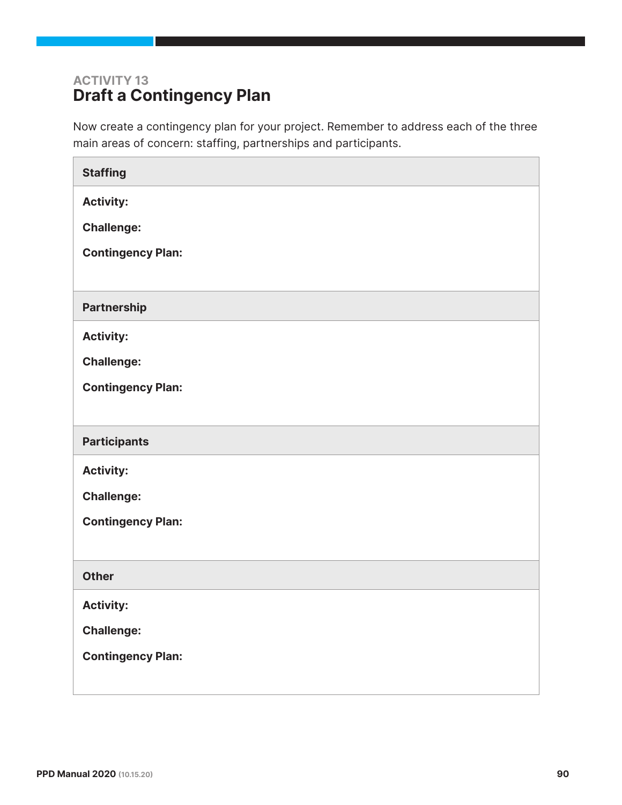# ACTIVITY 13 Draft a Contingency Plan

Now create a contingency plan for your project. Remember to address each of the three main areas of concern: staffing, partnerships and participants.

| <b>Staffing</b>          |
|--------------------------|
| <b>Activity:</b>         |
| <b>Challenge:</b>        |
| <b>Contingency Plan:</b> |
|                          |
| <b>Partnership</b>       |
| <b>Activity:</b>         |
| <b>Challenge:</b>        |
| <b>Contingency Plan:</b> |
|                          |
| <b>Participants</b>      |
| <b>Activity:</b>         |
| <b>Challenge:</b>        |
|                          |
| <b>Contingency Plan:</b> |
|                          |
| <b>Other</b>             |
| <b>Activity:</b>         |
| <b>Challenge:</b>        |
| <b>Contingency Plan:</b> |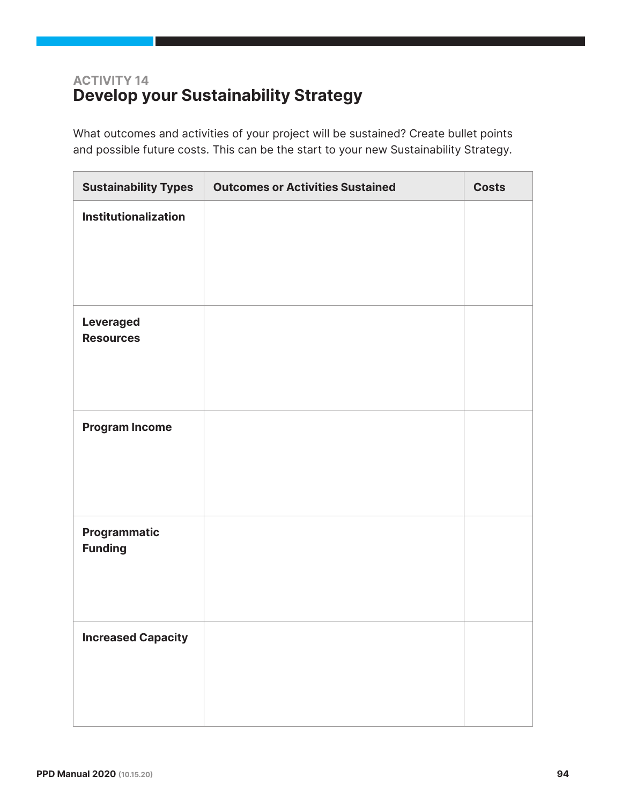# ACTIVITY 14 Develop your Sustainability Strategy

What outcomes and activities of your project will be sustained? Create bullet points and possible future costs. This can be the start to your new Sustainability Strategy.

| <b>Sustainability Types</b>          | <b>Outcomes or Activities Sustained</b> | <b>Costs</b> |
|--------------------------------------|-----------------------------------------|--------------|
| Institutionalization                 |                                         |              |
| <b>Leveraged</b><br><b>Resources</b> |                                         |              |
| <b>Program Income</b>                |                                         |              |
| Programmatic<br><b>Funding</b>       |                                         |              |
| <b>Increased Capacity</b>            |                                         |              |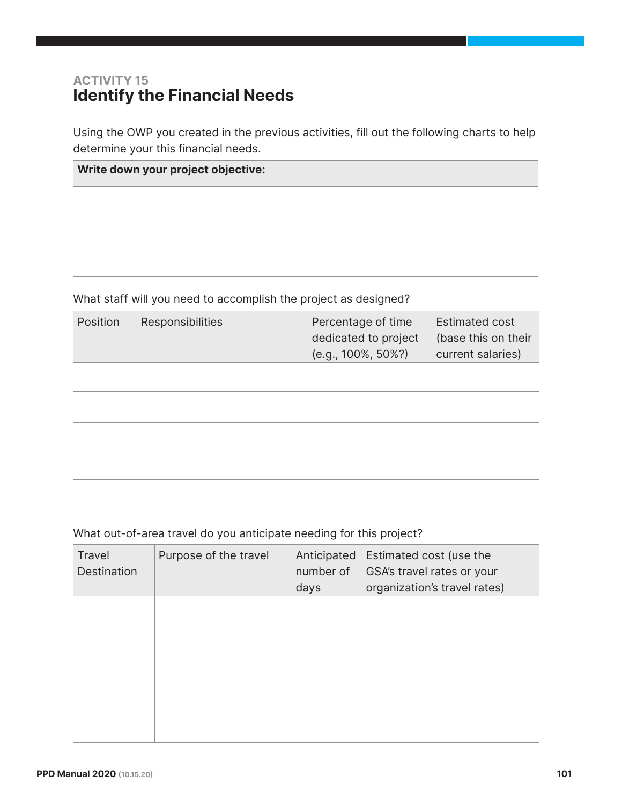## ACTIVITY 15 Identify the Financial Needs

Using the OWP you created in the previous activities, fill out the following charts to help determine your this financial needs.

| Write down your project objective: |  |  |  |  |  |
|------------------------------------|--|--|--|--|--|
|                                    |  |  |  |  |  |
|                                    |  |  |  |  |  |
|                                    |  |  |  |  |  |
|                                    |  |  |  |  |  |

What staff will you need to accomplish the project as designed?

| Position | Responsibilities | Percentage of time<br>dedicated to project<br>(e.g., 100%, 50%?) | <b>Estimated cost</b><br>(base this on their<br>current salaries) |
|----------|------------------|------------------------------------------------------------------|-------------------------------------------------------------------|
|          |                  |                                                                  |                                                                   |
|          |                  |                                                                  |                                                                   |
|          |                  |                                                                  |                                                                   |
|          |                  |                                                                  |                                                                   |
|          |                  |                                                                  |                                                                   |

What out-of-area travel do you anticipate needing for this project?

| Travel<br>Destination | Purpose of the travel | Anticipated<br>number of<br>days | Estimated cost (use the<br>GSA's travel rates or your<br>organization's travel rates) |
|-----------------------|-----------------------|----------------------------------|---------------------------------------------------------------------------------------|
|                       |                       |                                  |                                                                                       |
|                       |                       |                                  |                                                                                       |
|                       |                       |                                  |                                                                                       |
|                       |                       |                                  |                                                                                       |
|                       |                       |                                  |                                                                                       |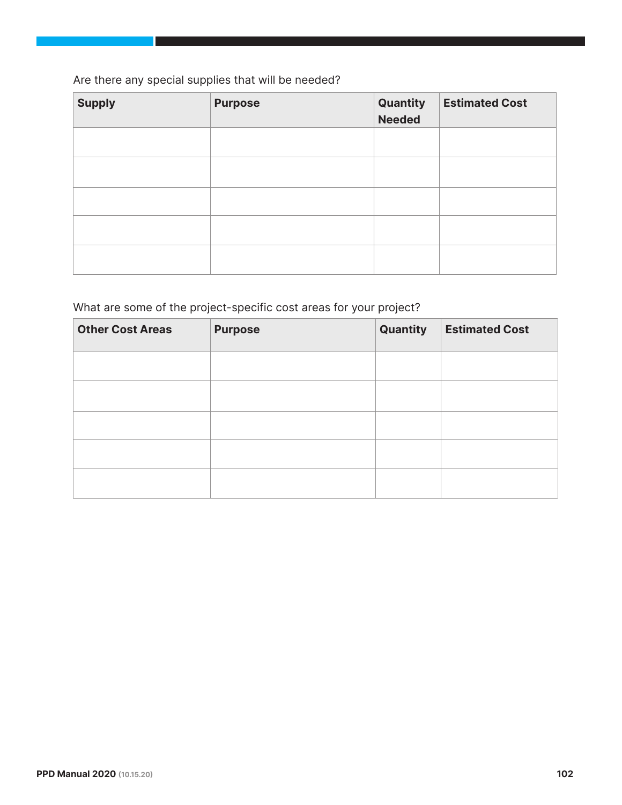#### Are there any special supplies that will be needed?

| <b>Supply</b> | <b>Purpose</b> | Quantity<br><b>Needed</b> | <b>Estimated Cost</b> |
|---------------|----------------|---------------------------|-----------------------|
|               |                |                           |                       |
|               |                |                           |                       |
|               |                |                           |                       |
|               |                |                           |                       |
|               |                |                           |                       |

#### What are some of the project-specific cost areas for your project?

| <b>Other Cost Areas</b> | <b>Purpose</b> | Quantity | <b>Estimated Cost</b> |
|-------------------------|----------------|----------|-----------------------|
|                         |                |          |                       |
|                         |                |          |                       |
|                         |                |          |                       |
|                         |                |          |                       |
|                         |                |          |                       |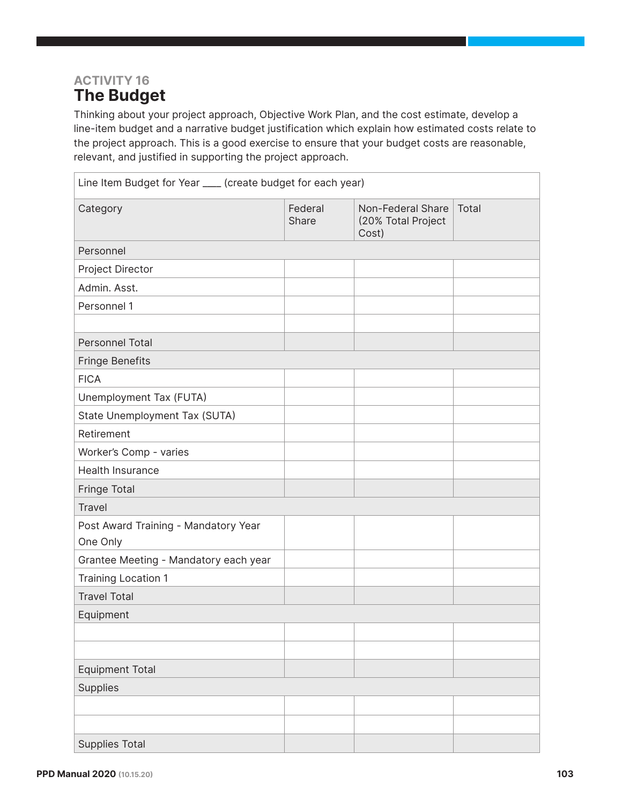### ACTIVITY 16 The Budget

Thinking about your project approach, Objective Work Plan, and the cost estimate, develop a line-item budget and a narrative budget justification which explain how estimated costs relate to the project approach. This is a good exercise to ensure that your budget costs are reasonable, relevant, and justified in supporting the project approach.

| Line Item Budget for Year ___ (create budget for each year) |                  |                                                  |       |
|-------------------------------------------------------------|------------------|--------------------------------------------------|-------|
| Category                                                    | Federal<br>Share | Non-Federal Share<br>(20% Total Project<br>Cost) | Total |
| Personnel                                                   |                  |                                                  |       |
| Project Director                                            |                  |                                                  |       |
| Admin. Asst.                                                |                  |                                                  |       |
| Personnel 1                                                 |                  |                                                  |       |
|                                                             |                  |                                                  |       |
| <b>Personnel Total</b>                                      |                  |                                                  |       |
| <b>Fringe Benefits</b>                                      |                  |                                                  |       |
| <b>FICA</b>                                                 |                  |                                                  |       |
| Unemployment Tax (FUTA)                                     |                  |                                                  |       |
| State Unemployment Tax (SUTA)                               |                  |                                                  |       |
| Retirement                                                  |                  |                                                  |       |
| Worker's Comp - varies                                      |                  |                                                  |       |
| <b>Health Insurance</b>                                     |                  |                                                  |       |
| Fringe Total                                                |                  |                                                  |       |
| <b>Travel</b>                                               |                  |                                                  |       |
| Post Award Training - Mandatory Year<br>One Only            |                  |                                                  |       |
| Grantee Meeting - Mandatory each year                       |                  |                                                  |       |
| <b>Training Location 1</b>                                  |                  |                                                  |       |
| <b>Travel Total</b>                                         |                  |                                                  |       |
| Equipment                                                   |                  |                                                  |       |
|                                                             |                  |                                                  |       |
|                                                             |                  |                                                  |       |
| <b>Equipment Total</b>                                      |                  |                                                  |       |
| Supplies                                                    |                  |                                                  |       |
|                                                             |                  |                                                  |       |
|                                                             |                  |                                                  |       |
| <b>Supplies Total</b>                                       |                  |                                                  |       |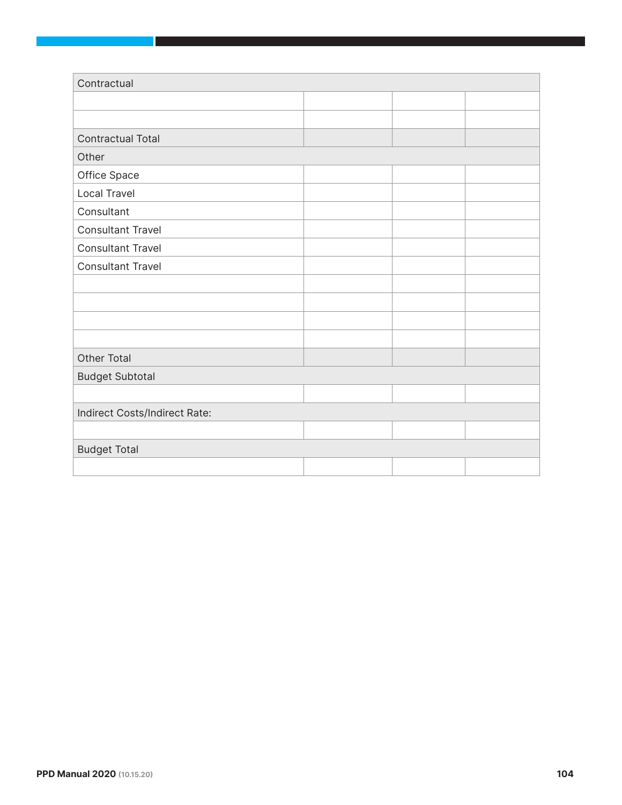| Contractual                   |  |  |  |  |  |
|-------------------------------|--|--|--|--|--|
|                               |  |  |  |  |  |
|                               |  |  |  |  |  |
| <b>Contractual Total</b>      |  |  |  |  |  |
| Other                         |  |  |  |  |  |
| Office Space                  |  |  |  |  |  |
| Local Travel                  |  |  |  |  |  |
| Consultant                    |  |  |  |  |  |
| <b>Consultant Travel</b>      |  |  |  |  |  |
| <b>Consultant Travel</b>      |  |  |  |  |  |
| <b>Consultant Travel</b>      |  |  |  |  |  |
|                               |  |  |  |  |  |
|                               |  |  |  |  |  |
|                               |  |  |  |  |  |
|                               |  |  |  |  |  |
| <b>Other Total</b>            |  |  |  |  |  |
| <b>Budget Subtotal</b>        |  |  |  |  |  |
|                               |  |  |  |  |  |
| Indirect Costs/Indirect Rate: |  |  |  |  |  |
|                               |  |  |  |  |  |
| <b>Budget Total</b>           |  |  |  |  |  |
|                               |  |  |  |  |  |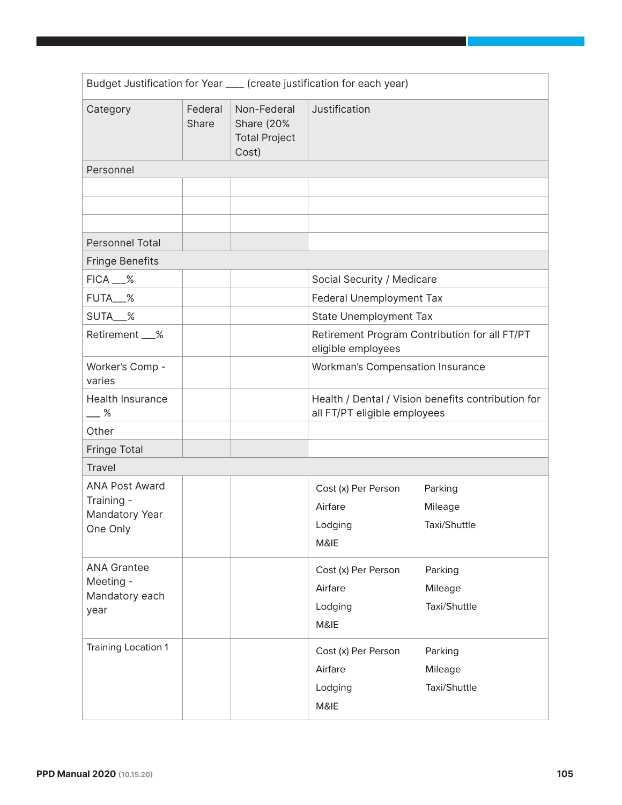| Budget Justification for Year ___ (create justification for each year) |                  |                                                                   |                                                                                    |                                               |  |
|------------------------------------------------------------------------|------------------|-------------------------------------------------------------------|------------------------------------------------------------------------------------|-----------------------------------------------|--|
| Category                                                               | Federal<br>Share | Non-Federal<br><b>Share (20%</b><br><b>Total Project</b><br>Cost) | Justification                                                                      |                                               |  |
| Personnel                                                              |                  |                                                                   |                                                                                    |                                               |  |
|                                                                        |                  |                                                                   |                                                                                    |                                               |  |
|                                                                        |                  |                                                                   |                                                                                    |                                               |  |
|                                                                        |                  |                                                                   |                                                                                    |                                               |  |
| Personnel Total                                                        |                  |                                                                   |                                                                                    |                                               |  |
| <b>Fringe Benefits</b>                                                 |                  |                                                                   |                                                                                    |                                               |  |
| $FICA$ $\_\%$                                                          |                  |                                                                   | Social Security / Medicare                                                         |                                               |  |
| FUTA__%                                                                |                  |                                                                   | Federal Unemployment Tax                                                           |                                               |  |
| SUTA__%                                                                |                  |                                                                   | <b>State Unemployment Tax</b>                                                      |                                               |  |
| Retirement __%                                                         |                  |                                                                   | eligible employees                                                                 | Retirement Program Contribution for all FT/PT |  |
| Worker's Comp -<br>varies                                              |                  |                                                                   | Workman's Compensation Insurance                                                   |                                               |  |
| Health Insurance<br>$-$ %                                              |                  |                                                                   | Health / Dental / Vision benefits contribution for<br>all FT/PT eligible employees |                                               |  |
| Other                                                                  |                  |                                                                   |                                                                                    |                                               |  |
| <b>Fringe Total</b>                                                    |                  |                                                                   |                                                                                    |                                               |  |
| <b>Travel</b>                                                          |                  |                                                                   |                                                                                    |                                               |  |
| <b>ANA Post Award</b><br>Training -<br>Mandatory Year<br>One Only      |                  |                                                                   | Cost (x) Per Person<br>Airfare<br>Lodging<br>M&IE                                  | Parking<br>Mileage<br>Taxi/Shuttle            |  |
| <b>ANA Grantee</b><br>Meeting -<br>Mandatory each<br>year              |                  |                                                                   | Cost (x) Per Person<br>Airfare<br>Lodging<br>M&IE                                  | Parking<br>Mileage<br>Taxi/Shuttle            |  |
| <b>Training Location 1</b>                                             |                  |                                                                   | Cost (x) Per Person<br>Airfare<br>Lodging<br>M&IE                                  | Parking<br>Mileage<br>Taxi/Shuttle            |  |